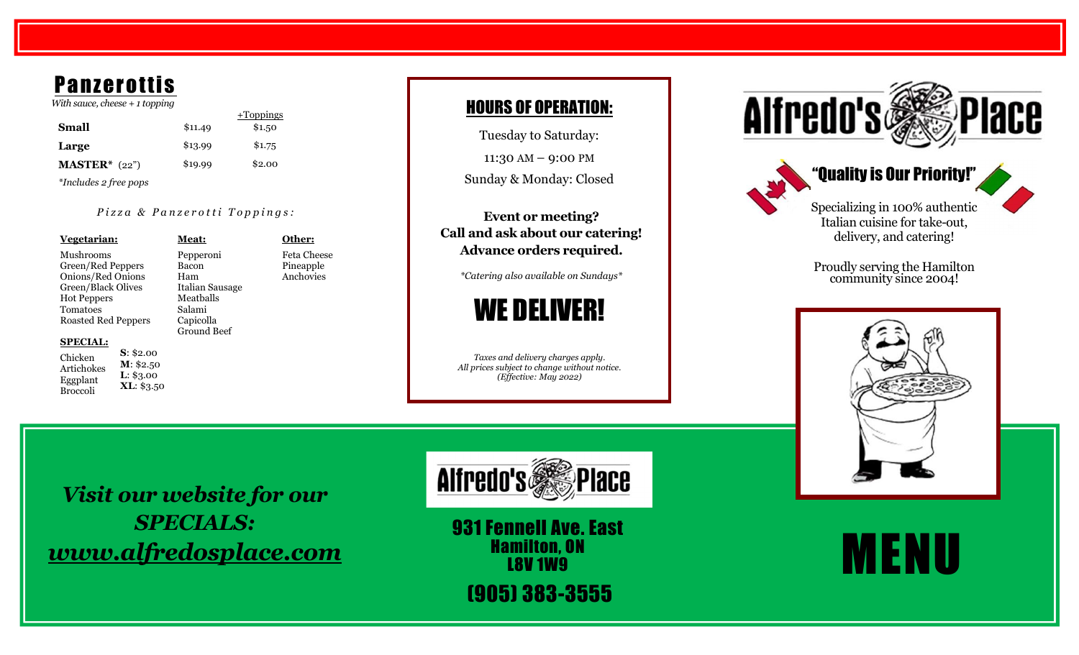# **Panzerottis**

 *With sauce, cheese + 1 toppin g*

 +Toppings **Small** 1 . 4 9 \$1.5 0 **Large**  $$13.99$   $$1.75$ **MASTER\*** (22") *\*Includes 2 free pops* \$19.99 \$2.00

#### *Pizza & Panzerotti Toppings:*

**Meat:**

Bacon Ham

Salami

Ground Beef

**Vegetarian:** Mushrooms Green/Red Peppers Onions/Red Onions Green/Black Olives Hot Peppers Tomatoes Roasted Red Peppers

Pepperoni Italian Sausage Meatballs Capicolla Pineapple Anchovies

#### **SPECIAL:**

Chicken Artichokes Eggplant Broccoli **S**: \$2.00 **M**: \$2.50 **L**: \$3.00 **XL**: \$3.50 **Other:** Feta Cheese

## HOURS OF OPERATION :

Tuesday to Saturday:

11:30 AM – 9:00 PM

Sunday & Monday: Closed

**Event or meeting? Call and ask about our catering! Advance orders required.**

*\*Catering also available on Sundays\**



*Taxes and delivery charges apply. All prices subject to change without notice. (Effective: May 2022)*





Proudly serving the Hamilton community since 2004!



*Visit our website for our SPECIALS: www.alfredosplace.com*



931 Fennell Ave. East Hamilton, ON **L8V 1W9** 

(905) 383 -3555